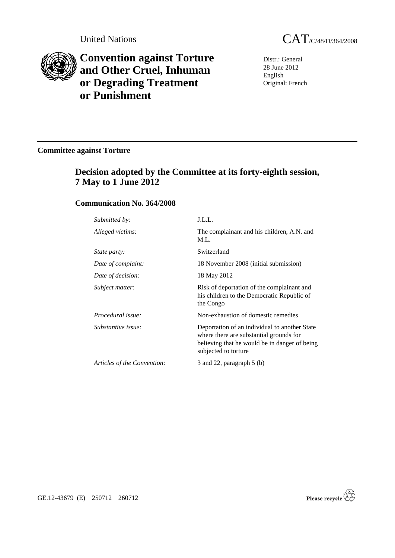

# **Convention against Torture and Other Cruel, Inhuman or Degrading Treatment or Punishment**

United Nations CAT/C/48/D/364/2008

Distr.: General 28 June 2012 English Original: French

## **Committee against Torture**

## **Decision adopted by the Committee at its forty-eighth session, 7 May to 1 June 2012**

## **Communication No. 364/2008**

| Submitted by:               | J.L.L.                                                                                                                                                            |
|-----------------------------|-------------------------------------------------------------------------------------------------------------------------------------------------------------------|
| Alleged victims:            | The complainant and his children, A.N. and<br>M.L.                                                                                                                |
| <i>State party:</i>         | Switzerland                                                                                                                                                       |
| Date of complaint:          | 18 November 2008 (initial submission)                                                                                                                             |
| Date of decision:           | 18 May 2012                                                                                                                                                       |
| Subject matter:             | Risk of deportation of the complainant and<br>his children to the Democratic Republic of<br>the Congo                                                             |
| Procedural issue:           | Non-exhaustion of domestic remedies                                                                                                                               |
| Substantive issue:          | Deportation of an individual to another State<br>where there are substantial grounds for<br>believing that he would be in danger of being<br>subjected to torture |
| Articles of the Convention: | 3 and 22, paragraph $5$ (b)                                                                                                                                       |
|                             |                                                                                                                                                                   |



GE.12-43679 (E) 250712 260712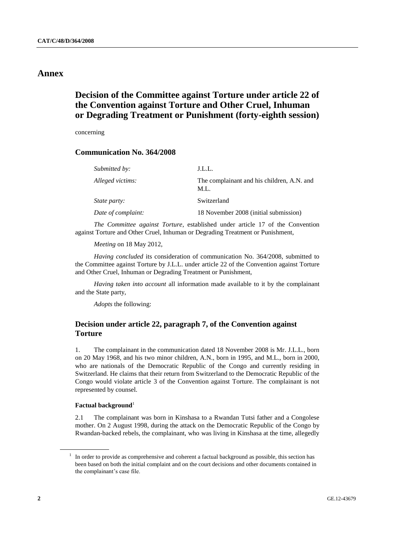### **Annex**

## **Decision of the Committee against Torture under article 22 of the Convention against Torture and Other Cruel, Inhuman or Degrading Treatment or Punishment (forty-eighth session)**

concerning

## **Communication No. 364/2008**

| Submitted by:       | J.L.L.                                             |
|---------------------|----------------------------------------------------|
| Alleged victims:    | The complainant and his children, A.N. and<br>M.L. |
| <i>State party:</i> | Switzerland                                        |
| Date of complaint:  | 18 November 2008 (initial submission)              |

*The Committee against Torture*, established under article 17 of the Convention against Torture and Other Cruel, Inhuman or Degrading Treatment or Punishment,

*Meeting* on 18 May 2012,

*Having concluded* its consideration of communication No. 364/2008, submitted to the Committee against Torture by J.L.L. under article 22 of the Convention against Torture and Other Cruel, Inhuman or Degrading Treatment or Punishment,

*Having taken into account* all information made available to it by the complainant and the State party,

*Adopts* the following:

### **Decision under article 22, paragraph 7, of the Convention against Torture**

1. The complainant in the communication dated 18 November 2008 is Mr. J.L.L., born on 20 May 1968, and his two minor children, A.N., born in 1995, and M.L., born in 2000, who are nationals of the Democratic Republic of the Congo and currently residing in Switzerland. He claims that their return from Switzerland to the Democratic Republic of the Congo would violate article 3 of the Convention against Torture. The complainant is not represented by counsel.

#### **Factual background**<sup>1</sup>

2.1 The complainant was born in Kinshasa to a Rwandan Tutsi father and a Congolese mother. On 2 August 1998, during the attack on the Democratic Republic of the Congo by Rwandan-backed rebels, the complainant, who was living in Kinshasa at the time, allegedly

<sup>1</sup> In order to provide as comprehensive and coherent a factual background as possible, this section has been based on both the initial complaint and on the court decisions and other documents contained in the complainant's case file.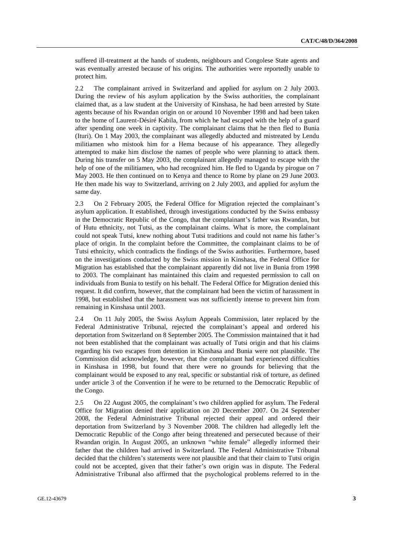suffered ill-treatment at the hands of students, neighbours and Congolese State agents and was eventually arrested because of his origins. The authorities were reportedly unable to protect him.

2.2 The complainant arrived in Switzerland and applied for asylum on 2 July 2003. During the review of his asylum application by the Swiss authorities, the complainant claimed that, as a law student at the University of Kinshasa, he had been arrested by State agents because of his Rwandan origin on or around 10 November 1998 and had been taken to the home of Laurent-Désiré Kabila, from which he had escaped with the help of a guard after spending one week in captivity. The complainant claims that he then fled to Bunia (Ituri). On 1 May 2003, the complainant was allegedly abducted and mistreated by Lendu militiamen who mistook him for a Hema because of his appearance. They allegedly attempted to make him disclose the names of people who were planning to attack them. During his transfer on 5 May 2003, the complainant allegedly managed to escape with the help of one of the militiamen, who had recognized him. He fled to Uganda by pirogue on 7 May 2003. He then continued on to Kenya and thence to Rome by plane on 29 June 2003. He then made his way to Switzerland, arriving on 2 July 2003, and applied for asylum the same day.

2.3 On 2 February 2005, the Federal Office for Migration rejected the complainant's asylum application. It established, through investigations conducted by the Swiss embassy in the Democratic Republic of the Congo, that the complainant's father was Rwandan, but of Hutu ethnicity, not Tutsi, as the complainant claims. What is more, the complainant could not speak Tutsi, knew nothing about Tutsi traditions and could not name his father's place of origin. In the complaint before the Committee, the complainant claims to be of Tutsi ethnicity, which contradicts the findings of the Swiss authorities. Furthermore, based on the investigations conducted by the Swiss mission in Kinshasa, the Federal Office for Migration has established that the complainant apparently did not live in Bunia from 1998 to 2003. The complainant has maintained this claim and requested permission to call on individuals from Bunia to testify on his behalf. The Federal Office for Migration denied this request. It did confirm, however, that the complainant had been the victim of harassment in 1998, but established that the harassment was not sufficiently intense to prevent him from remaining in Kinshasa until 2003.

2.4 On 11 July 2005, the Swiss Asylum Appeals Commission, later replaced by the Federal Administrative Tribunal, rejected the complainant's appeal and ordered his deportation from Switzerland on 8 September 2005. The Commission maintained that it had not been established that the complainant was actually of Tutsi origin and that his claims regarding his two escapes from detention in Kinshasa and Bunia were not plausible. The Commission did acknowledge, however, that the complainant had experienced difficulties in Kinshasa in 1998, but found that there were no grounds for believing that the complainant would be exposed to any real, specific or substantial risk of torture, as defined under article 3 of the Convention if he were to be returned to the Democratic Republic of the Congo.

2.5 On 22 August 2005, the complainant's two children applied for asylum. The Federal Office for Migration denied their application on 20 December 2007. On 24 September 2008, the Federal Administrative Tribunal rejected their appeal and ordered their deportation from Switzerland by 3 November 2008. The children had allegedly left the Democratic Republic of the Congo after being threatened and persecuted because of their Rwandan origin. In August 2005, an unknown "white female" allegedly informed their father that the children had arrived in Switzerland. The Federal Administrative Tribunal decided that the children's statements were not plausible and that their claim to Tutsi origin could not be accepted, given that their father's own origin was in dispute. The Federal Administrative Tribunal also affirmed that the psychological problems referred to in the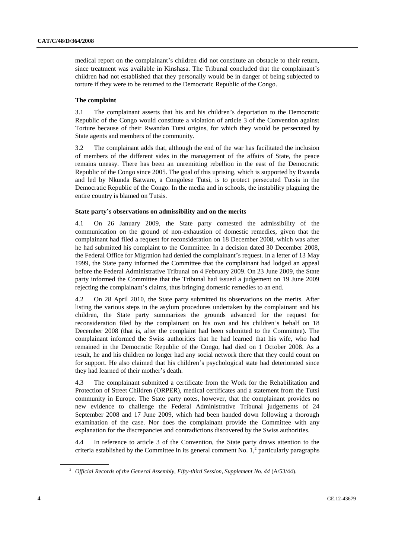medical report on the complainant's children did not constitute an obstacle to their return, since treatment was available in Kinshasa. The Tribunal concluded that the complainant's children had not established that they personally would be in danger of being subjected to torture if they were to be returned to the Democratic Republic of the Congo.

#### **The complaint**

3.1 The complainant asserts that his and his children's deportation to the Democratic Republic of the Congo would constitute a violation of article 3 of the Convention against Torture because of their Rwandan Tutsi origins, for which they would be persecuted by State agents and members of the community.

3.2 The complainant adds that, although the end of the war has facilitated the inclusion of members of the different sides in the management of the affairs of State, the peace remains uneasy. There has been an unremitting rebellion in the east of the Democratic Republic of the Congo since 2005. The goal of this uprising, which is supported by Rwanda and led by Nkunda Batware, a Congolese Tutsi, is to protect persecuted Tutsis in the Democratic Republic of the Congo. In the media and in schools, the instability plaguing the entire country is blamed on Tutsis.

#### **State party's observations on admissibility and on the merits**

4.1 On 26 January 2009, the State party contested the admissibility of the communication on the ground of non-exhaustion of domestic remedies, given that the complainant had filed a request for reconsideration on 18 December 2008, which was after he had submitted his complaint to the Committee. In a decision dated 30 December 2008, the Federal Office for Migration had denied the complainant's request. In a letter of 13 May 1999, the State party informed the Committee that the complainant had lodged an appeal before the Federal Administrative Tribunal on 4 February 2009. On 23 June 2009, the State party informed the Committee that the Tribunal had issued a judgement on 19 June 2009 rejecting the complainant's claims, thus bringing domestic remedies to an end.

4.2 On 28 April 2010, the State party submitted its observations on the merits. After listing the various steps in the asylum procedures undertaken by the complainant and his children, the State party summarizes the grounds advanced for the request for reconsideration filed by the complainant on his own and his children's behalf on 18 December 2008 (that is, after the complaint had been submitted to the Committee). The complainant informed the Swiss authorities that he had learned that his wife, who had remained in the Democratic Republic of the Congo, had died on 1 October 2008. As a result, he and his children no longer had any social network there that they could count on for support. He also claimed that his children's psychological state had deteriorated since they had learned of their mother's death.

4.3 The complainant submitted a certificate from the Work for the Rehabilitation and Protection of Street Children (ORPER), medical certificates and a statement from the Tutsi community in Europe. The State party notes, however, that the complainant provides no new evidence to challenge the Federal Administrative Tribunal judgements of 24 September 2008 and 17 June 2009, which had been handed down following a thorough examination of the case. Nor does the complainant provide the Committee with any explanation for the discrepancies and contradictions discovered by the Swiss authorities.

4.4 In reference to article 3 of the Convention, the State party draws attention to the criteria established by the Committee in its general comment No.  $1<sup>2</sup>$  particularly paragraphs

<sup>2</sup> *Official Records of the General Assembly, Fifty-third Session, Supplement No. 44* (A/53/44).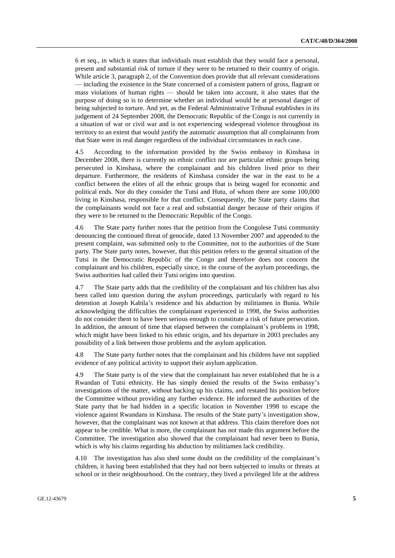6 et seq., in which it states that individuals must establish that they would face a personal, present and substantial risk of torture if they were to be returned to their country of origin. While article 3, paragraph 2, of the Convention does provide that all relevant considerations — including the existence in the State concerned of a consistent pattern of gross, flagrant or mass violations of human rights — should be taken into account, it also states that the purpose of doing so is to determine whether an individual would be at personal danger of being subjected to torture. And yet, as the Federal Administrative Tribunal establishes in its judgement of 24 September 2008, the Democratic Republic of the Congo is not currently in a situation of war or civil war and is not experiencing widespread violence throughout its territory to an extent that would justify the automatic assumption that all complainants from that State were in real danger regardless of the individual circumstances in each case.

4.5 According to the information provided by the Swiss embassy in Kinshasa in December 2008, there is currently no ethnic conflict nor are particular ethnic groups being persecuted in Kinshasa, where the complainant and his children lived prior to their departure. Furthermore, the residents of Kinshasa consider the war in the east to be a conflict between the elites of all the ethnic groups that is being waged for economic and political ends. Nor do they consider the Tutsi and Hutu, of whom there are some 100,000 living in Kinshasa, responsible for that conflict. Consequently, the State party claims that the complainants would not face a real and substantial danger because of their origins if they were to be returned to the Democratic Republic of the Congo.

4.6 The State party further notes that the petition from the Congolese Tutsi community denouncing the continued threat of genocide, dated 13 November 2007 and appended to the present complaint, was submitted only to the Committee, not to the authorities of the State party. The State party notes, however, that this petition refers to the general situation of the Tutsi in the Democratic Republic of the Congo and therefore does not concern the complainant and his children, especially since, in the course of the asylum proceedings, the Swiss authorities had called their Tutsi origins into question.

4.7 The State party adds that the credibility of the complainant and his children has also been called into question during the asylum proceedings, particularly with regard to his detention at Joseph Kabila's residence and his abduction by militiamen in Bunia. While acknowledging the difficulties the complainant experienced in 1998, the Swiss authorities do not consider them to have been serious enough to constitute a risk of future persecution. In addition, the amount of time that elapsed between the complainant's problems in 1998, which might have been linked to his ethnic origin, and his departure in 2003 precludes any possibility of a link between those problems and the asylum application.

4.8 The State party further notes that the complainant and his children have not supplied evidence of any political activity to support their asylum application.

4.9 The State party is of the view that the complainant has never established that he is a Rwandan of Tutsi ethnicity. He has simply denied the results of the Swiss embassy's investigations of the matter, without backing up his claims, and restated his position before the Committee without providing any further evidence. He informed the authorities of the State party that he had hidden in a specific location in November 1998 to escape the violence against Rwandans in Kinshasa. The results of the State party's investigation show, however, that the complainant was not known at that address. This claim therefore does not appear to be credible. What is more, the complainant has not made this argument before the Committee. The investigation also showed that the complainant had never been to Bunia, which is why his claims regarding his abduction by militiamen lack credibility.

4.10 The investigation has also shed some doubt on the credibility of the complainant's children, it having been established that they had not been subjected to insults or threats at school or in their neighbourhood. On the contrary, they lived a privileged life at the address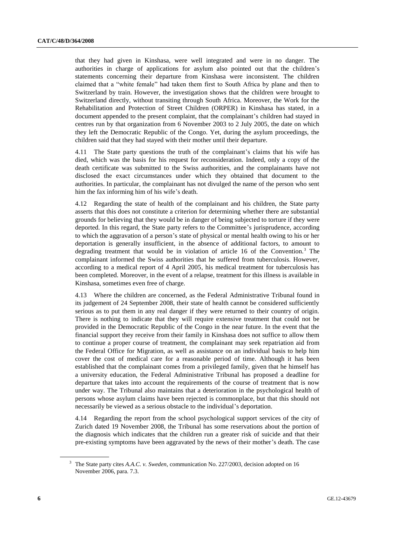that they had given in Kinshasa, were well integrated and were in no danger. The authorities in charge of applications for asylum also pointed out that the children's statements concerning their departure from Kinshasa were inconsistent. The children claimed that a "white female" had taken them first to South Africa by plane and then to Switzerland by train. However, the investigation shows that the children were brought to Switzerland directly, without transiting through South Africa. Moreover, the Work for the Rehabilitation and Protection of Street Children (ORPER) in Kinshasa has stated, in a document appended to the present complaint, that the complainant's children had stayed in centres run by that organization from 6 November 2003 to 2 July 2005, the date on which they left the Democratic Republic of the Congo. Yet, during the asylum proceedings, the children said that they had stayed with their mother until their departure.

4.11 The State party questions the truth of the complainant's claims that his wife has died, which was the basis for his request for reconsideration. Indeed, only a copy of the death certificate was submitted to the Swiss authorities, and the complainants have not disclosed the exact circumstances under which they obtained that document to the authorities. In particular, the complainant has not divulged the name of the person who sent him the fax informing him of his wife's death.

4.12 Regarding the state of health of the complainant and his children, the State party asserts that this does not constitute a criterion for determining whether there are substantial grounds for believing that they would be in danger of being subjected to torture if they were deported. In this regard, the State party refers to the Committee's jurisprudence, according to which the aggravation of a person's state of physical or mental health owing to his or her deportation is generally insufficient, in the absence of additional factors, to amount to degrading treatment that would be in violation of article 16 of the Convention.<sup>3</sup> The complainant informed the Swiss authorities that he suffered from tuberculosis. However, according to a medical report of 4 April 2005, his medical treatment for tuberculosis has been completed. Moreover, in the event of a relapse, treatment for this illness is available in Kinshasa, sometimes even free of charge.

4.13 Where the children are concerned, as the Federal Administrative Tribunal found in its judgement of 24 September 2008, their state of health cannot be considered sufficiently serious as to put them in any real danger if they were returned to their country of origin. There is nothing to indicate that they will require extensive treatment that could not be provided in the Democratic Republic of the Congo in the near future. In the event that the financial support they receive from their family in Kinshasa does not suffice to allow them to continue a proper course of treatment, the complainant may seek repatriation aid from the Federal Office for Migration, as well as assistance on an individual basis to help him cover the cost of medical care for a reasonable period of time. Although it has been established that the complainant comes from a privileged family, given that he himself has a university education, the Federal Administrative Tribunal has proposed a deadline for departure that takes into account the requirements of the course of treatment that is now under way. The Tribunal also maintains that a deterioration in the psychological health of persons whose asylum claims have been rejected is commonplace, but that this should not necessarily be viewed as a serious obstacle to the individual's deportation.

4.14 Regarding the report from the school psychological support services of the city of Zurich dated 19 November 2008, the Tribunal has some reservations about the portion of the diagnosis which indicates that the children run a greater risk of suicide and that their pre-existing symptoms have been aggravated by the news of their mother's death. The case

<sup>3</sup> The State party cites *A.A.C. v. Sweden*, communication No. 227/2003, decision adopted on 16 November 2006, para. 7.3.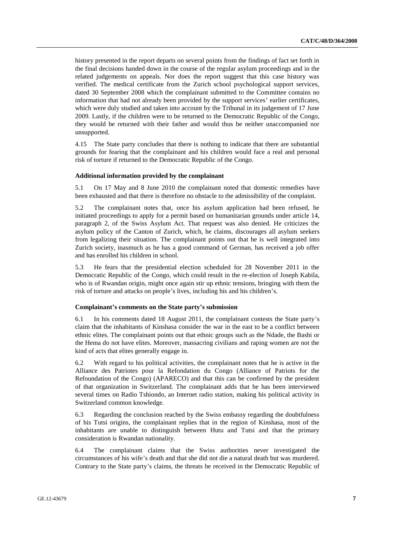history presented in the report departs on several points from the findings of fact set forth in the final decisions handed down in the course of the regular asylum proceedings and in the related judgements on appeals. Nor does the report suggest that this case history was verified. The medical certificate from the Zurich school psychological support services, dated 30 September 2008 which the complainant submitted to the Committee contains no information that had not already been provided by the support services' earlier certificates, which were duly studied and taken into account by the Tribunal in its judgement of 17 June 2009. Lastly, if the children were to be returned to the Democratic Republic of the Congo, they would be returned with their father and would thus be neither unaccompanied nor unsupported.

4.15 The State party concludes that there is nothing to indicate that there are substantial grounds for fearing that the complainant and his children would face a real and personal risk of torture if returned to the Democratic Republic of the Congo.

#### **Additional information provided by the complainant**

5.1 On 17 May and 8 June 2010 the complainant noted that domestic remedies have been exhausted and that there is therefore no obstacle to the admissibility of the complaint.

5.2 The complainant notes that, once his asylum application had been refused, he initiated proceedings to apply for a permit based on humanitarian grounds under article 14, paragraph 2, of the Swiss Asylum Act. That request was also denied. He criticizes the asylum policy of the Canton of Zurich, which, he claims, discourages all asylum seekers from legalizing their situation. The complainant points out that he is well integrated into Zurich society, inasmuch as he has a good command of German, has received a job offer and has enrolled his children in school.

5.3 He fears that the presidential election scheduled for 28 November 2011 in the Democratic Republic of the Congo, which could result in the re-election of Joseph Kabila, who is of Rwandan origin, might once again stir up ethnic tensions, bringing with them the risk of torture and attacks on people's lives, including his and his children's.

#### **Complainant's comments on the State party's submission**

6.1 In his comments dated 18 August 2011, the complainant contests the State party's claim that the inhabitants of Kinshasa consider the war in the east to be a conflict between ethnic elites. The complainant points out that ethnic groups such as the Ndade, the Bashi or the Hema do not have elites. Moreover, massacring civilians and raping women are not the kind of acts that elites generally engage in.

6.2 With regard to his political activities, the complainant notes that he is active in the Alliance des Patriotes pour la Refondation du Congo (Alliance of Patriots for the Refoundation of the Congo) (APARECO) and that this can be confirmed by the president of that organization in Switzerland. The complainant adds that he has been interviewed several times on Radio Tshiondo, an Internet radio station, making his political activity in Switzerland common knowledge.

6.3 Regarding the conclusion reached by the Swiss embassy regarding the doubtfulness of his Tutsi origins, the complainant replies that in the region of Kinshasa, most of the inhabitants are unable to distinguish between Hutu and Tutsi and that the primary consideration is Rwandan nationality.

6.4 The complainant claims that the Swiss authorities never investigated the circumstances of his wife's death and that she did not die a natural death but was murdered. Contrary to the State party's claims, the threats he received in the Democratic Republic of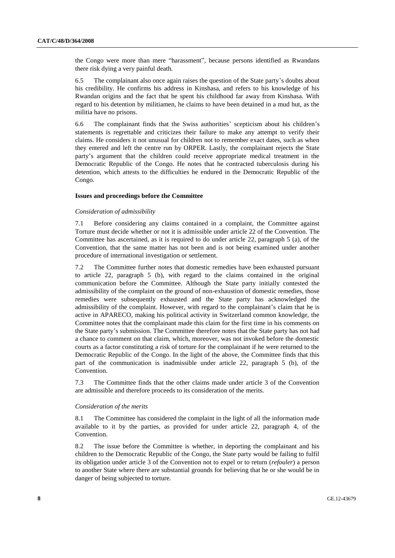the Congo were more than mere "harassment", because persons identified as Rwandans there risk dying a very painful death.

6.5 The complainant also once again raises the question of the State party's doubts about his credibility. He confirms his address in Kinshasa, and refers to his knowledge of his Rwandan origins and the fact that he spent his childhood far away from Kinshasa. With regard to his detention by militiamen, he claims to have been detained in a mud hut, as the militia have no prisons.

6.6 The complainant finds that the Swiss authorities' scepticism about his children's statements is regrettable and criticizes their failure to make any attempt to verify their claims. He considers it not unusual for children not to remember exact dates, such as when they entered and left the centre run by ORPER. Lastly, the complainant rejects the State party's argument that the children could receive appropriate medical treatment in the Democratic Republic of the Congo. He notes that he contracted tuberculosis during his detention, which attests to the difficulties he endured in the Democratic Republic of the Congo.

#### **Issues and proceedings before the Committee**

#### *Consideration of admissibility*

7.1 Before considering any claims contained in a complaint, the Committee against Torture must decide whether or not it is admissible under article 22 of the Convention. The Committee has ascertained, as it is required to do under article 22, paragraph 5 (a), of the Convention, that the same matter has not been and is not being examined under another procedure of international investigation or settlement.

7.2 The Committee further notes that domestic remedies have been exhausted pursuant to article 22, paragraph 5 (b), with regard to the claims contained in the original communication before the Committee. Although the State party initially contested the admissibility of the complaint on the ground of non-exhaustion of domestic remedies, those remedies were subsequently exhausted and the State party has acknowledged the admissibility of the complaint. However, with regard to the complainant's claim that he is active in APARECO, making his political activity in Switzerland common knowledge, the Committee notes that the complainant made this claim for the first time in his comments on the State party's submission. The Committee therefore notes that the State party has not had a chance to comment on that claim, which, moreover, was not invoked before the domestic courts as a factor constituting a risk of torture for the complainant if he were returned to the Democratic Republic of the Congo. In the light of the above, the Committee finds that this part of the communication is inadmissible under article 22, paragraph 5 (b), of the Convention.

7.3 The Committee finds that the other claims made under article 3 of the Convention are admissible and therefore proceeds to its consideration of the merits.

#### *Consideration of the merits*

8.1 The Committee has considered the complaint in the light of all the information made available to it by the parties, as provided for under article 22, paragraph 4, of the Convention.

8.2 The issue before the Committee is whether, in deporting the complainant and his children to the Democratic Republic of the Congo, the State party would be failing to fulfil its obligation under article 3 of the Convention not to expel or to return (*refouler*) a person to another State where there are substantial grounds for believing that he or she would be in danger of being subjected to torture.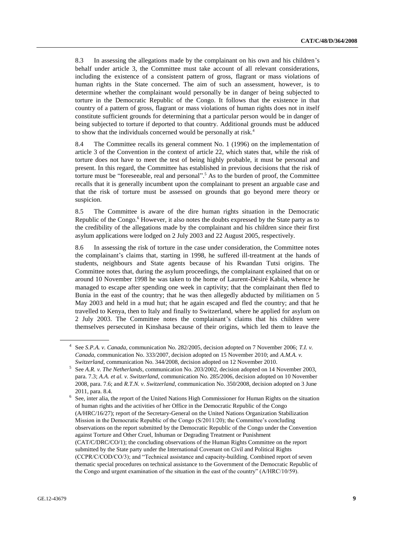8.3 In assessing the allegations made by the complainant on his own and his children's behalf under article 3, the Committee must take account of all relevant considerations, including the existence of a consistent pattern of gross, flagrant or mass violations of human rights in the State concerned. The aim of such an assessment, however, is to determine whether the complainant would personally be in danger of being subjected to torture in the Democratic Republic of the Congo. It follows that the existence in that country of a pattern of gross, flagrant or mass violations of human rights does not in itself constitute sufficient grounds for determining that a particular person would be in danger of being subjected to torture if deported to that country. Additional grounds must be adduced to show that the individuals concerned would be personally at risk.<sup>4</sup>

8.4 The Committee recalls its general comment No. 1 (1996) on the implementation of article 3 of the Convention in the context of article 22, which states that, while the risk of torture does not have to meet the test of being highly probable, it must be personal and present. In this regard, the Committee has established in previous decisions that the risk of torture must be "foreseeable, real and personal". <sup>5</sup> As to the burden of proof, the Committee recalls that it is generally incumbent upon the complainant to present an arguable case and that the risk of torture must be assessed on grounds that go beyond mere theory or suspicion.

8.5 The Committee is aware of the dire human rights situation in the Democratic Republic of the Congo.<sup>6</sup> However, it also notes the doubts expressed by the State party as to the credibility of the allegations made by the complainant and his children since their first asylum applications were lodged on 2 July 2003 and 22 August 2005, respectively.

8.6 In assessing the risk of torture in the case under consideration, the Committee notes the complainant's claims that, starting in 1998, he suffered ill-treatment at the hands of students, neighbours and State agents because of his Rwandan Tutsi origins. The Committee notes that, during the asylum proceedings, the complainant explained that on or around 10 November 1998 he was taken to the home of Laurent-Désiré Kabila, whence he managed to escape after spending one week in captivity; that the complainant then fled to Bunia in the east of the country; that he was then allegedly abducted by militiamen on 5 May 2003 and held in a mud hut; that he again escaped and fled the country; and that he travelled to Kenya, then to Italy and finally to Switzerland, where he applied for asylum on 2 July 2003. The Committee notes the complainant's claims that his children were themselves persecuted in Kinshasa because of their origins, which led them to leave the

<sup>4</sup> See *S.P.A. v. Canada*, communication No. 282/2005, decision adopted on 7 November 2006; *T.I. v. Canada*, communication No. 333/2007, decision adopted on 15 November 2010; and *A.M.A. v. Switzerland*, communication No. 344/2008, decision adopted on 12 November 2010.

<sup>5</sup> See *A.R. v. The Netherlands*, communication No. 203/2002, decision adopted on 14 November 2003, para. 7.3; *A.A. et al. v. Switzerland*, communication No. 285/2006, decision adopted on 10 November 2008, para. 7.6; and *R.T.N. v. Switzerland*, communication No. 350/2008, decision adopted on 3 June 2011, para. 8.4.

<sup>6</sup> See, inter alia, the report of the United Nations High Commissioner for Human Rights on the situation of human rights and the activities of her Office in the Democratic Republic of the Congo (A/HRC/16/27); report of the Secretary-General on the United Nations Organization Stabilization Mission in the Democratic Republic of the Congo (S/2011/20); the Committee's concluding observations on the report submitted by the Democratic Republic of the Congo under the Convention against Torture and Other Cruel, Inhuman or Degrading Treatment or Punishment (CAT/C/DRC/CO/1); the concluding observations of the Human Rights Committee on the report submitted by the State party under the International Covenant on Civil and Political Rights (CCPR/C/COD/CO/3); and "Technical assistance and capacity-building. Combined report of seven thematic special procedures on technical assistance to the Government of the Democratic Republic of the Congo and urgent examination of the situation in the east of the country" (A/HRC/10/59).